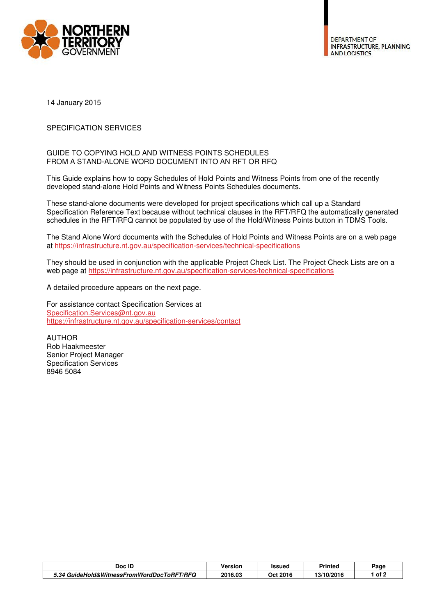

**DEPARTMENT OF INFRASTRUCTURE, PLANNING AND LOGISTICS** 

14 January 2015

## SPECIFICATION SERVICES

## GUIDE TO COPYING HOLD AND WITNESS POINTS SCHEDULES FROM A STAND-ALONE WORD DOCUMENT INTO AN RFT OR RFQ

This Guide explains how to copy Schedules of Hold Points and Witness Points from one of the recently developed stand-alone Hold Points and Witness Points Schedules documents.

These stand-alone documents were developed for project specifications which call up a Standard Specification Reference Text because without technical clauses in the RFT/RFQ the automatically generated schedules in the RFT/RFQ cannot be populated by use of the Hold/Witness Points button in TDMS Tools.

The Stand Alone Word documents with the Schedules of Hold Points and Witness Points are on a web page at https://infrastructure.nt.gov.au/specification-services/technical-specifications

They should be used in conjunction with the applicable Project Check List. The Project Check Lists are on a web page at https://infrastructure.nt.gov.au/specification-services/technical-specifications

A detailed procedure appears on the next page.

For assistance contact Specification Services at Specification.Services@nt.gov.au https://infrastructure.nt.gov.au/specification-services/contact

AUTHOR Rob Haakmeester Senior Project Manager Specification Services 8946 5084

| Doc ID                                     | Version | Issued   | Printed    | Page |
|--------------------------------------------|---------|----------|------------|------|
| 5.34 GuideHold&WitnessFromWordDocToRFT/RFQ | 2016.03 | Oct 2016 | 13/10/2016 | of 2 |